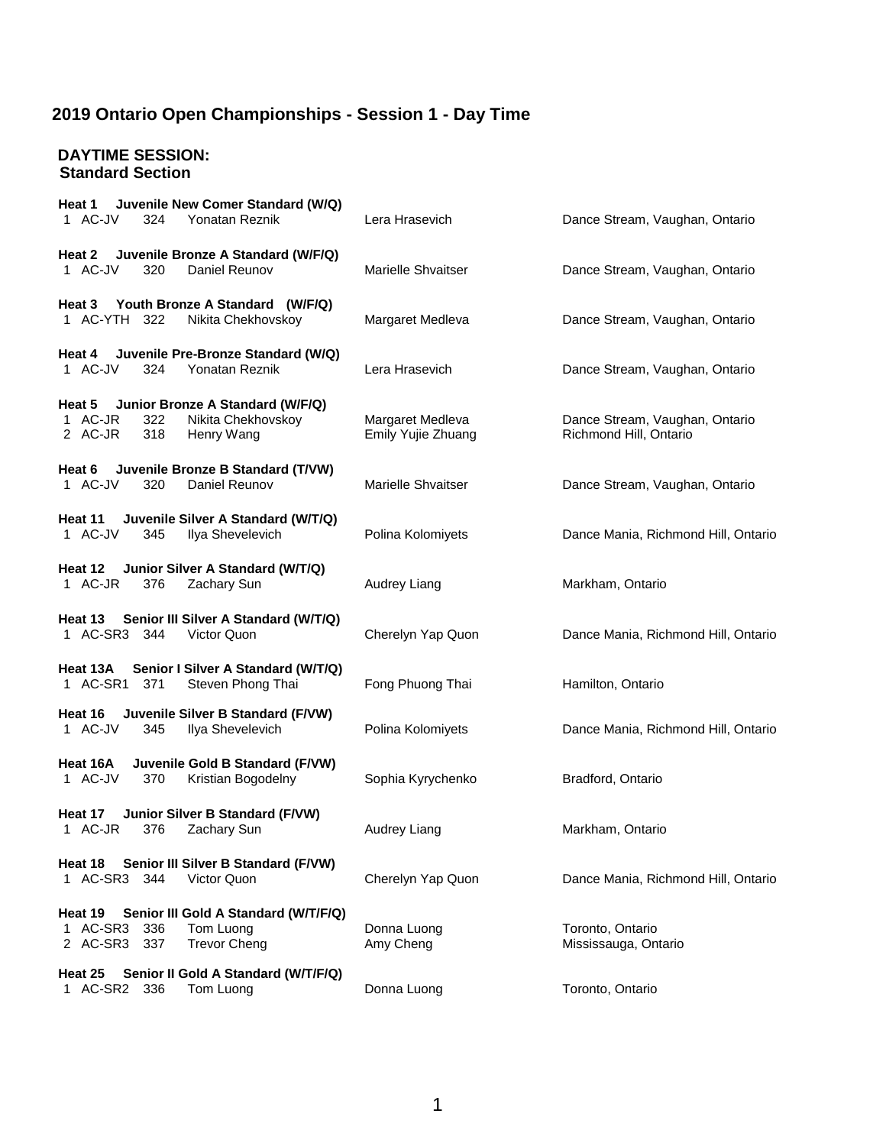### **DAYTIME SESSION: Standard Section**

| Juvenile New Comer Standard (W/Q)<br>Heat 1<br>324<br>Yonatan Reznik<br>1 AC-JV                                           | Lera Hrasevich                         | Dance Stream, Vaughan, Ontario                           |
|---------------------------------------------------------------------------------------------------------------------------|----------------------------------------|----------------------------------------------------------|
|                                                                                                                           |                                        |                                                          |
| Heat 2 Juvenile Bronze A Standard (W/F/Q)<br>1 AC-JV<br>320<br>Daniel Reunov                                              | Marielle Shvaitser                     | Dance Stream, Vaughan, Ontario                           |
| Heat 3 Youth Bronze A Standard (W/F/Q)<br>1 AC-YTH 322<br>Nikita Chekhovskoy                                              | Margaret Medleva                       | Dance Stream, Vaughan, Ontario                           |
| Heat 4 Juvenile Pre-Bronze Standard (W/Q)<br>1 AC-JV<br>324<br><b>Yonatan Reznik</b>                                      | Lera Hrasevich                         | Dance Stream, Vaughan, Ontario                           |
| Heat 5 Junior Bronze A Standard (W/F/Q)<br>1 AC-JR<br>Nikita Chekhovskoy<br>322<br>2 AC-JR<br>318<br>Henry Wang           | Margaret Medleva<br>Emily Yujie Zhuang | Dance Stream, Vaughan, Ontario<br>Richmond Hill, Ontario |
| Juvenile Bronze B Standard (T/VW)<br>Heat 6<br>1 AC-JV<br>Daniel Reunov<br>320                                            | Marielle Shvaitser                     | Dance Stream, Vaughan, Ontario                           |
| Heat 11<br>Juvenile Silver A Standard (W/T/Q)<br>1 AC-JV<br>Ilya Shevelevich<br>345                                       | Polina Kolomiyets                      | Dance Mania, Richmond Hill, Ontario                      |
| Junior Silver A Standard (W/T/Q)<br>Heat 12<br>1 AC-JR<br>Zachary Sun<br>376                                              | Audrey Liang                           | Markham, Ontario                                         |
| Heat 13 Senior III Silver A Standard (W/T/Q)<br>1 AC-SR3 344<br>Victor Quon                                               | Cherelyn Yap Quon                      | Dance Mania, Richmond Hill, Ontario                      |
| Senior I Silver A Standard (W/T/Q)<br>Heat 13A<br>Steven Phong Thai<br>1 AC-SR1<br>371                                    | Fong Phuong Thai                       | Hamilton, Ontario                                        |
| Juvenile Silver B Standard (F/VW)<br>Heat 16<br>1 AC-JV<br>Ilya Shevelevich<br>345                                        | Polina Kolomiyets                      | Dance Mania, Richmond Hill, Ontario                      |
| Juvenile Gold B Standard (F/VW)<br>Heat 16A<br>1 AC-JV<br>370<br>Kristian Bogodelny                                       | Sophia Kyrychenko                      | Bradford, Ontario                                        |
| Junior Silver B Standard (F/VW)<br>Heat 17<br>1 AC-JR<br>376<br>Zachary Sun                                               | Audrey Liang                           | Markham, Ontario                                         |
| Senior III Silver B Standard (F/VW)<br>Heat 18<br>1 AC-SR3<br>Victor Quon<br>344                                          | Cherelyn Yap Quon                      | Dance Mania, Richmond Hill, Ontario                      |
| Senior III Gold A Standard (W/T/F/Q)<br>Heat 19<br>1 AC-SR3<br>336<br>Tom Luong<br>2 AC-SR3<br>337<br><b>Trevor Cheng</b> | Donna Luong<br>Amy Cheng               | Toronto, Ontario<br>Mississauga, Ontario                 |
| Senior II Gold A Standard (W/T/F/Q)<br>Heat 25<br>1 AC-SR2<br>Tom Luong<br>336                                            | Donna Luong                            | Toronto, Ontario                                         |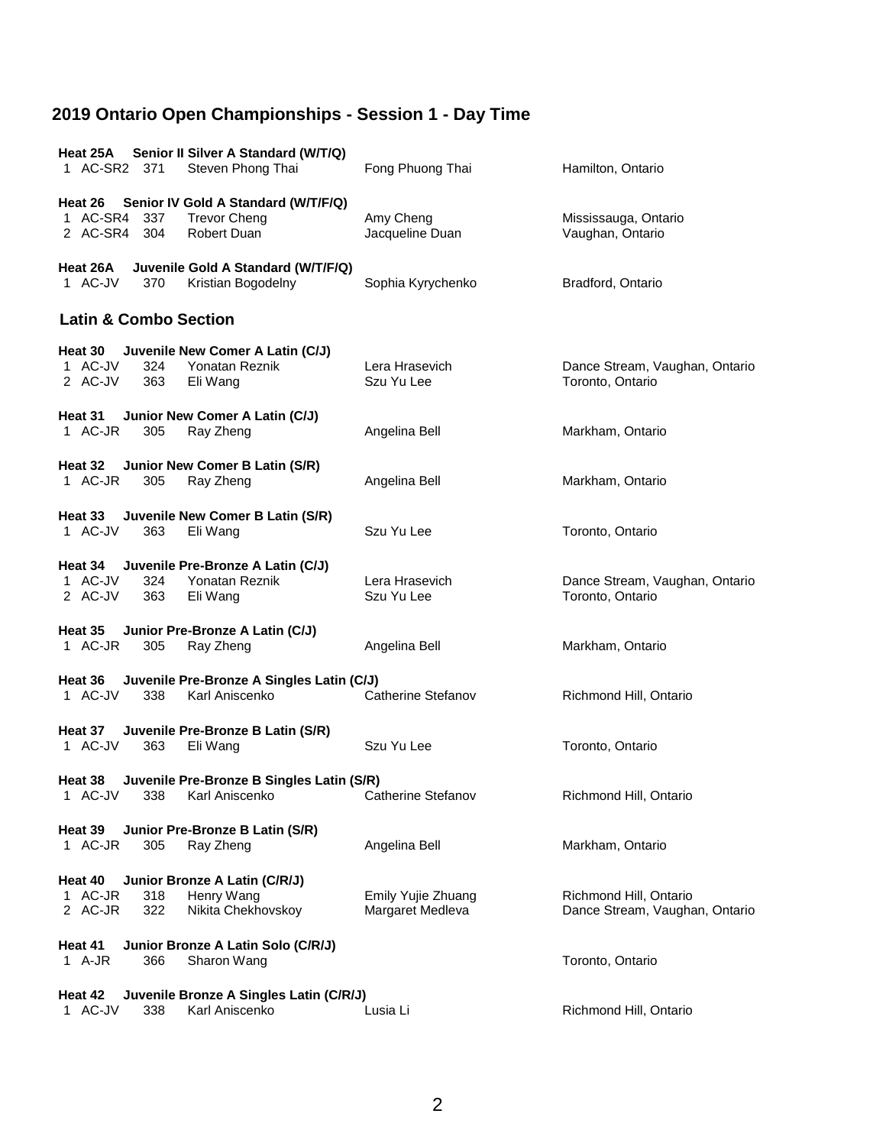| Heat 25A<br>1 AC-SR2 371           | Senior II Silver A Standard (W/T/Q)<br>Steven Phong Thai        | Fong Phuong Thai   | Hamilton, Ontario              |  |  |  |
|------------------------------------|-----------------------------------------------------------------|--------------------|--------------------------------|--|--|--|
| Heat 26                            | Senior IV Gold A Standard (W/T/F/Q)                             |                    |                                |  |  |  |
| 1 AC-SR4                           | 337<br><b>Trevor Cheng</b>                                      | Amy Cheng          | Mississauga, Ontario           |  |  |  |
| 2 AC-SR4 304                       | Robert Duan                                                     | Jacqueline Duan    | Vaughan, Ontario               |  |  |  |
|                                    |                                                                 |                    |                                |  |  |  |
| Heat 26A<br>1 AC-JV                | Juvenile Gold A Standard (W/T/F/Q)<br>Kristian Bogodelny<br>370 | Sophia Kyrychenko  | Bradford, Ontario              |  |  |  |
| <b>Latin &amp; Combo Section</b>   |                                                                 |                    |                                |  |  |  |
| Heat 30                            | Juvenile New Comer A Latin (C/J)                                |                    |                                |  |  |  |
| 1 AC-JV                            | Yonatan Reznik<br>324                                           | Lera Hrasevich     | Dance Stream, Vaughan, Ontario |  |  |  |
| 2 AC-JV                            | 363<br>Eli Wang                                                 | Szu Yu Lee         | Toronto, Ontario               |  |  |  |
|                                    |                                                                 |                    |                                |  |  |  |
|                                    |                                                                 |                    |                                |  |  |  |
| Heat 31                            | Junior New Comer A Latin (C/J)                                  |                    |                                |  |  |  |
| 1 AC-JR                            | Ray Zheng<br>305                                                | Angelina Bell      | Markham, Ontario               |  |  |  |
|                                    |                                                                 |                    |                                |  |  |  |
| Heat 32                            | Junior New Comer B Latin (S/R)                                  |                    |                                |  |  |  |
| 1 AC-JR                            | Ray Zheng<br>305                                                | Angelina Bell      | Markham, Ontario               |  |  |  |
|                                    |                                                                 |                    |                                |  |  |  |
|                                    |                                                                 |                    |                                |  |  |  |
| Heat 33                            | Juvenile New Comer B Latin (S/R)                                |                    |                                |  |  |  |
| 1 AC-JV                            | 363<br>Eli Wang                                                 | Szu Yu Lee         | Toronto, Ontario               |  |  |  |
|                                    |                                                                 |                    |                                |  |  |  |
| Heat 34                            | Juvenile Pre-Bronze A Latin (C/J)                               |                    |                                |  |  |  |
|                                    |                                                                 |                    |                                |  |  |  |
| 1 AC-JV                            | 324<br>Yonatan Reznik                                           | Lera Hrasevich     | Dance Stream, Vaughan, Ontario |  |  |  |
| 2 AC-JV                            | 363<br>Eli Wang                                                 | Szu Yu Lee         | Toronto, Ontario               |  |  |  |
|                                    |                                                                 |                    |                                |  |  |  |
| Heat 35                            | Junior Pre-Bronze A Latin (C/J)                                 |                    |                                |  |  |  |
| 1 AC-JR                            | 305<br>Ray Zheng                                                | Angelina Bell      | Markham, Ontario               |  |  |  |
|                                    |                                                                 |                    |                                |  |  |  |
|                                    |                                                                 |                    |                                |  |  |  |
| Heat 36                            | Juvenile Pre-Bronze A Singles Latin (C/J)                       |                    |                                |  |  |  |
| 1 AC-JV                            | Karl Aniscenko<br>338                                           | Catherine Stefanov | Richmond Hill, Ontario         |  |  |  |
|                                    |                                                                 |                    |                                |  |  |  |
| Heat 37                            | Juvenile Pre-Bronze B Latin (S/R)                               |                    |                                |  |  |  |
| 1 AC-JV                            | 363<br>Eli Wang                                                 | Szu Yu Lee         | Toronto, Ontario               |  |  |  |
|                                    |                                                                 |                    |                                |  |  |  |
|                                    |                                                                 |                    |                                |  |  |  |
| Heat 38                            | Juvenile Pre-Bronze B Singles Latin (S/R)                       |                    |                                |  |  |  |
| 1 AC-JV                            | 338<br>Karl Aniscenko                                           | Catherine Stefanov | Richmond Hill, Ontario         |  |  |  |
|                                    |                                                                 |                    |                                |  |  |  |
| Heat 39                            | Junior Pre-Bronze B Latin (S/R)                                 |                    |                                |  |  |  |
| 1 AC-JR                            | Ray Zheng<br>305                                                | Angelina Bell      | Markham, Ontario               |  |  |  |
|                                    |                                                                 |                    |                                |  |  |  |
|                                    |                                                                 |                    |                                |  |  |  |
| Heat 40                            | Junior Bronze A Latin (C/R/J)                                   |                    |                                |  |  |  |
| 1 AC-JR                            | Henry Wang<br>318                                               | Emily Yujie Zhuang | Richmond Hill, Ontario         |  |  |  |
| 2 AC-JR                            | 322<br>Nikita Chekhovskoy                                       | Margaret Medleva   | Dance Stream, Vaughan, Ontario |  |  |  |
|                                    |                                                                 |                    |                                |  |  |  |
| Junior Bronze A Latin Solo (C/R/J) |                                                                 |                    |                                |  |  |  |
| Heat 41                            |                                                                 |                    |                                |  |  |  |
| 1 A-JR                             | 366<br>Sharon Wang                                              |                    | Toronto, Ontario               |  |  |  |
|                                    |                                                                 |                    |                                |  |  |  |
| Heat 42                            | Juvenile Bronze A Singles Latin (C/R/J)                         |                    |                                |  |  |  |
| 1 AC-JV                            | Karl Aniscenko<br>338                                           | Lusia Li           | Richmond Hill, Ontario         |  |  |  |
|                                    |                                                                 |                    |                                |  |  |  |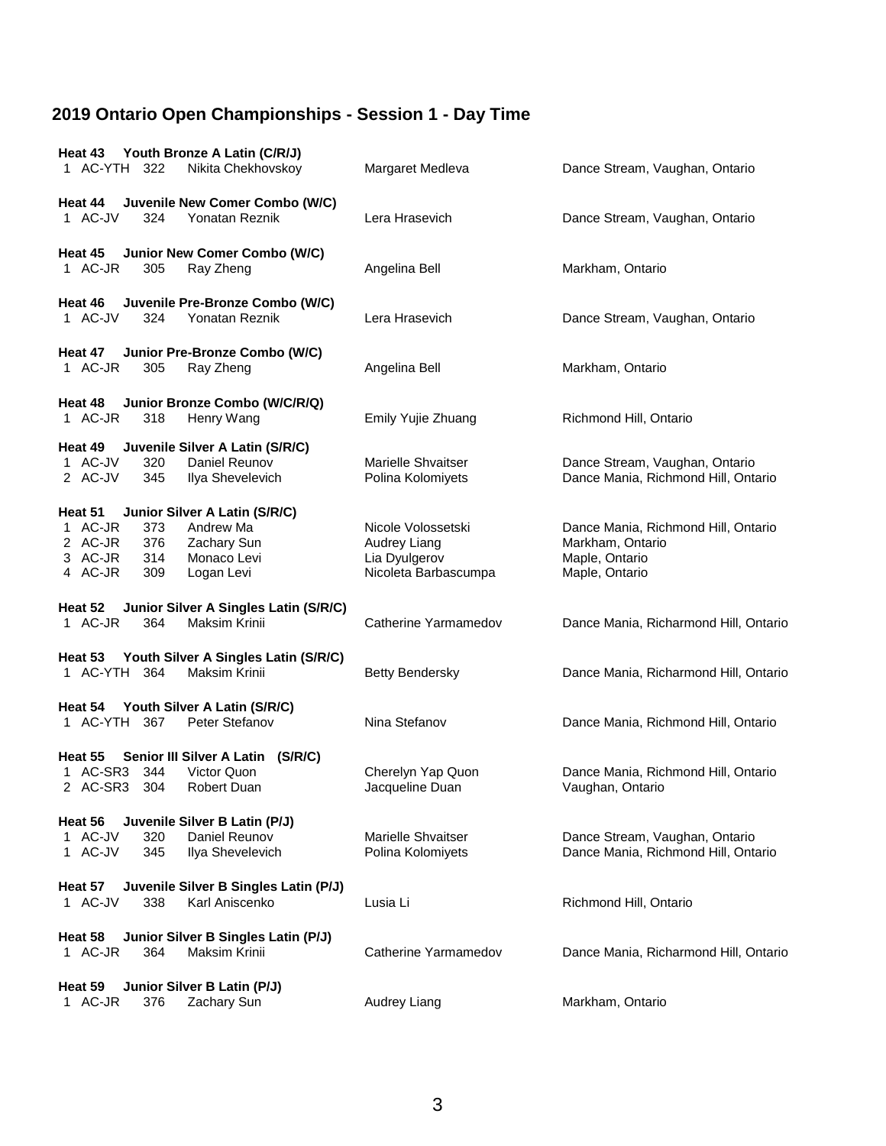| Youth Bronze A Latin (C/R/J)<br>Heat 43<br>1 AC-YTH<br>322<br>Nikita Chekhovskoy                                                                                          | Margaret Medleva                                                            | Dance Stream, Vaughan, Ontario                                                              |
|---------------------------------------------------------------------------------------------------------------------------------------------------------------------------|-----------------------------------------------------------------------------|---------------------------------------------------------------------------------------------|
| Juvenile New Comer Combo (W/C)<br>Heat 44<br>1 AC-JV<br>324<br>Yonatan Reznik                                                                                             | Lera Hrasevich                                                              | Dance Stream, Vaughan, Ontario                                                              |
| Junior New Comer Combo (W/C)<br>Heat 45<br>1 AC-JR<br>305<br>Ray Zheng                                                                                                    | Angelina Bell                                                               | Markham, Ontario                                                                            |
| Juvenile Pre-Bronze Combo (W/C)<br>Heat 46<br>1 AC-JV<br>Yonatan Reznik<br>324                                                                                            | Lera Hrasevich                                                              | Dance Stream, Vaughan, Ontario                                                              |
| Heat 47 Junior Pre-Bronze Combo (W/C)<br>1 AC-JR<br>305<br>Ray Zheng                                                                                                      | Angelina Bell                                                               | Markham, Ontario                                                                            |
| Junior Bronze Combo (W/C/R/Q)<br>Heat 48<br>1 AC-JR<br>318<br>Henry Wang                                                                                                  | Emily Yujie Zhuang                                                          | Richmond Hill, Ontario                                                                      |
| Heat 49<br>Juvenile Silver A Latin (S/R/C)<br>1 AC-JV<br>320<br>Daniel Reunov<br>2 AC-JV<br>345<br>Ilya Shevelevich                                                       | Marielle Shvaitser<br>Polina Kolomiyets                                     | Dance Stream, Vaughan, Ontario<br>Dance Mania, Richmond Hill, Ontario                       |
| Heat 51<br>Junior Silver A Latin (S/R/C)<br>1 AC-JR<br>Andrew Ma<br>373<br>2 AC-JR<br>376<br>Zachary Sun<br>3 AC-JR<br>314<br>Monaco Levi<br>4 AC-JR<br>309<br>Logan Levi | Nicole Volossetski<br>Audrey Liang<br>Lia Dyulgerov<br>Nicoleta Barbascumpa | Dance Mania, Richmond Hill, Ontario<br>Markham, Ontario<br>Maple, Ontario<br>Maple, Ontario |
| Heat 52<br>Junior Silver A Singles Latin (S/R/C)<br>1 AC-JR<br><b>Maksim Krinii</b><br>364                                                                                | Catherine Yarmamedov                                                        | Dance Mania, Richarmond Hill, Ontario                                                       |
| Youth Silver A Singles Latin (S/R/C)<br>Heat 53<br>1 AC-YTH 364<br><b>Maksim Krinii</b>                                                                                   | <b>Betty Bendersky</b>                                                      | Dance Mania, Richarmond Hill, Ontario                                                       |
| Youth Silver A Latin (S/R/C)<br>Heat 54<br>1 AC-YTH 367<br>Peter Stefanov                                                                                                 | Nina Stefanov                                                               | Dance Mania, Richmond Hill, Ontario                                                         |
| Heat 55<br>Senior III Silver A Latin (S/R/C)<br>1 AC-SR3<br>344<br>Victor Quon<br>2 AC-SR3<br>304<br>Robert Duan                                                          | Cherelyn Yap Quon<br>Jacqueline Duan                                        | Dance Mania, Richmond Hill, Ontario<br>Vaughan, Ontario                                     |
| Juvenile Silver B Latin (P/J)<br>Heat 56<br>1 AC-JV<br>320<br>Daniel Reunov<br>1 AC-JV<br>345<br>Ilya Shevelevich                                                         | Marielle Shvaitser<br>Polina Kolomiyets                                     | Dance Stream, Vaughan, Ontario<br>Dance Mania, Richmond Hill, Ontario                       |
| Juvenile Silver B Singles Latin (P/J)<br>Heat 57<br>1 AC-JV<br>338<br>Karl Aniscenko                                                                                      | Lusia Li                                                                    | Richmond Hill, Ontario                                                                      |
| Junior Silver B Singles Latin (P/J)<br>Heat 58<br>1 AC-JR<br><b>Maksim Krinii</b><br>364                                                                                  | Catherine Yarmamedov                                                        | Dance Mania, Richarmond Hill, Ontario                                                       |
| Heat 59<br>Junior Silver B Latin (P/J)<br>1 AC-JR<br>376<br>Zachary Sun                                                                                                   | Audrey Liang                                                                | Markham, Ontario                                                                            |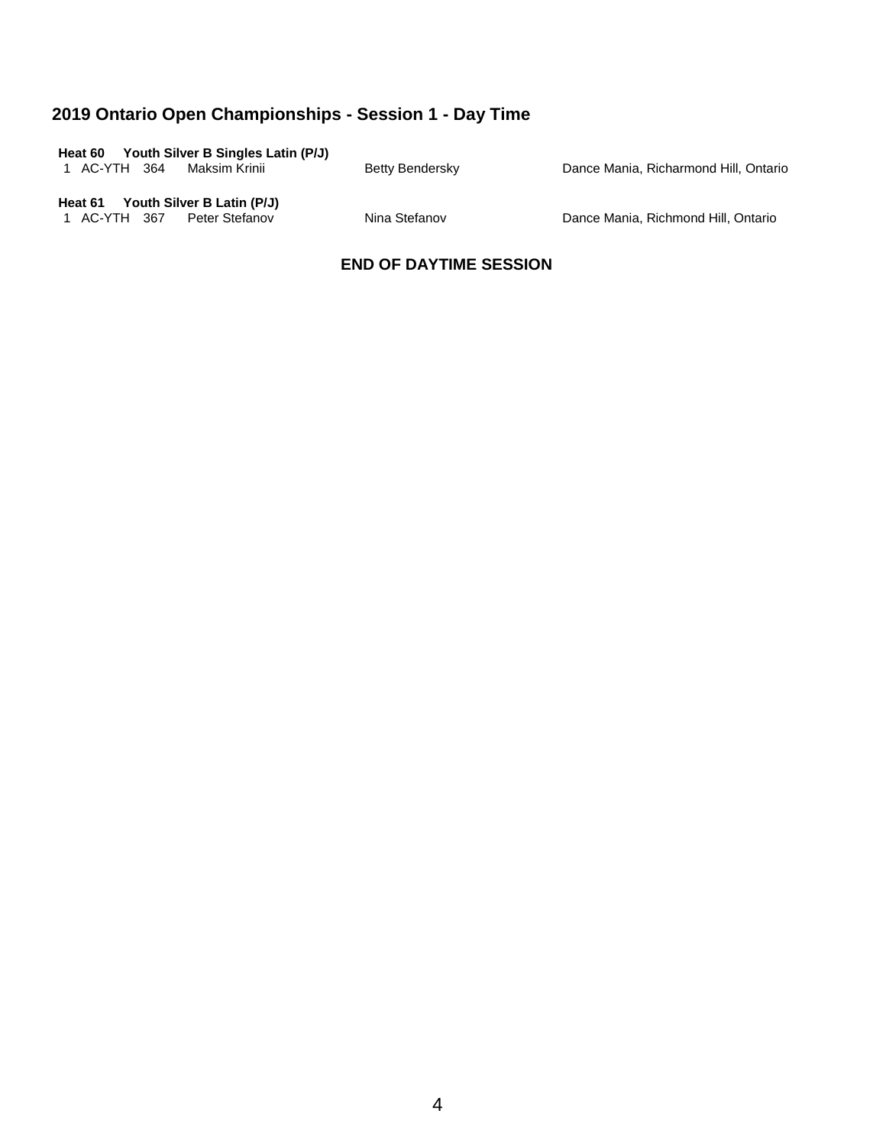| Youth Silver B Singles Latin (P/J)<br>Heat 60 |                 |                                       |
|-----------------------------------------------|-----------------|---------------------------------------|
| 1 AC-YTH 364<br>Maksim Krinii                 | Betty Bendersky | Dance Mania, Richarmond Hill, Ontario |
| Youth Silver B Latin (P/J)<br>Heat 61         |                 |                                       |

1 AC-YTH 367 Peter Stefanov Nina Stefanov Dance Mania, Richmond Hill, Ontario

### **END OF DAYTIME SESSION**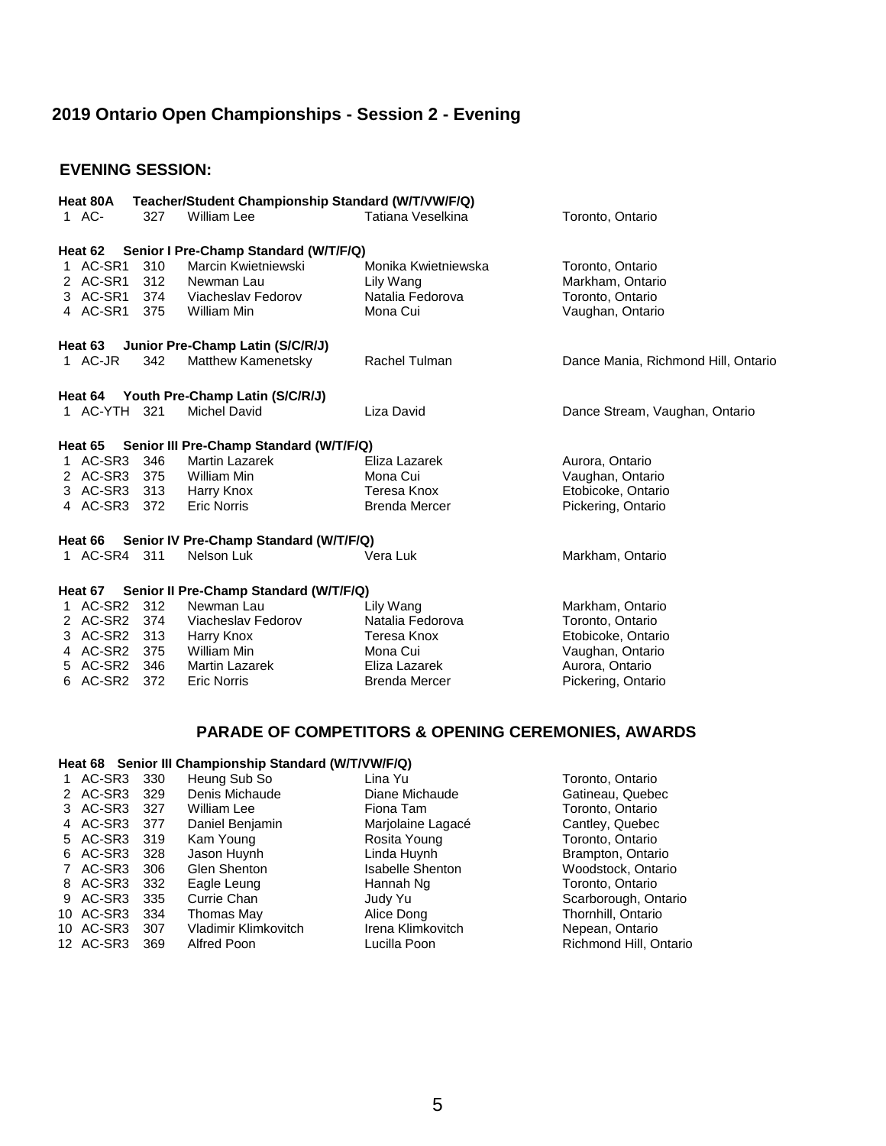## **2019 Ontario Open Championships - Session 2 - Evening**

#### **EVENING SESSION:**

| Heat 80A                                       |       | Teacher/Student Championship Standard (W/T/VW/F/Q) |                      |                                     |  |
|------------------------------------------------|-------|----------------------------------------------------|----------------------|-------------------------------------|--|
| 1 AC-                                          | 327   | William Lee                                        | Tatiana Veselkina    | Toronto, Ontario                    |  |
| Heat 62                                        |       | Senior I Pre-Champ Standard (W/T/F/Q)              |                      |                                     |  |
| 1 AC-SR1                                       | 310   | Marcin Kwietniewski                                | Monika Kwietniewska  | Toronto, Ontario                    |  |
| 2 AC-SR1                                       | 312   | Newman Lau                                         | Lily Wang            | Markham, Ontario                    |  |
| 3 AC-SR1 374                                   |       | Viacheslav Fedorov                                 | Natalia Fedorova     | Toronto, Ontario                    |  |
| 4 AC-SR1 375                                   |       | William Min                                        | Mona Cui             | Vaughan, Ontario                    |  |
| Heat 63                                        |       | Junior Pre-Champ Latin (S/C/R/J)                   |                      |                                     |  |
| 1 AC-JR                                        | 342   | <b>Matthew Kamenetsky</b>                          | Rachel Tulman        | Dance Mania, Richmond Hill, Ontario |  |
|                                                |       | Heat 64 Youth Pre-Champ Latin (S/C/R/J)            |                      |                                     |  |
| 1 AC-YTH 321                                   |       | Michel David                                       | Liza David           | Dance Stream, Vaughan, Ontario      |  |
| Heat 65                                        |       | Senior III Pre-Champ Standard (W/T/F/Q)            |                      |                                     |  |
| 1 AC-SR3 346                                   |       | Martin Lazarek                                     | Eliza Lazarek        | Aurora, Ontario                     |  |
| 2 AC-SR3 375                                   |       | William Min                                        | Mona Cui             | Vaughan, Ontario                    |  |
| 3 AC-SR3                                       | 313   | Harry Knox                                         | Teresa Knox          | Etobicoke, Ontario                  |  |
| 4 AC-SR3 372                                   |       | <b>Eric Norris</b>                                 | <b>Brenda Mercer</b> | Pickering, Ontario                  |  |
| Heat 66 Senior IV Pre-Champ Standard (W/T/F/Q) |       |                                                    |                      |                                     |  |
| 1 AC-SR4 311                                   |       | Nelson Luk                                         | Vera Luk             | Markham, Ontario                    |  |
| Heat 67 Senior II Pre-Champ Standard (W/T/F/Q) |       |                                                    |                      |                                     |  |
| 1 AC-SR2                                       | 312   | Newman Lau                                         | Lily Wang            | Markham, Ontario                    |  |
| 2 AC-SR2 374                                   |       | Viacheslav Fedorov                                 | Natalia Fedorova     | Toronto, Ontario                    |  |
| 3 AC-SR2                                       | - 313 | Harry Knox                                         | Teresa Knox          | Etobicoke, Ontario                  |  |
| 4 AC-SR2 375                                   |       | William Min                                        | Mona Cui             | Vaughan, Ontario                    |  |
| 5 AC-SR2                                       | 346   | <b>Martin Lazarek</b>                              | Eliza Lazarek        | Aurora, Ontario                     |  |
| 6 AC-SR2                                       | 372   | <b>Eric Norris</b>                                 | <b>Brenda Mercer</b> | Pickering, Ontario                  |  |

### **PARADE OF COMPETITORS & OPENING CEREMONIES, AWARDS**

#### **Heat 68 Senior III Championship Standard (W/T/VW/F/Q)**

| AC-SR3    | 330 | Heung Sub So         | Lina Yu                 | Toronto, Ontario       |
|-----------|-----|----------------------|-------------------------|------------------------|
| 2 AC-SR3  | 329 | Denis Michaude       | Diane Michaude          | Gatineau, Quebec       |
| 3 AC-SR3  | 327 | William Lee          | Fiona Tam               | Toronto, Ontario       |
| 4 AC-SR3  | 377 | Daniel Benjamin      | Marjolaine Lagacé       | Cantley, Quebec        |
| 5 AC-SR3  | 319 | Kam Young            | Rosita Young            | Toronto, Ontario       |
| 6 AC-SR3  | 328 | Jason Huynh          | Linda Huynh             | Brampton, Ontario      |
| 7 AC-SR3  | 306 | Glen Shenton         | <b>Isabelle Shenton</b> | Woodstock, Ontario     |
| 8 AC-SR3  | 332 | Eagle Leung          | Hannah Ng               | Toronto, Ontario       |
| 9 AC-SR3  | 335 | Currie Chan          | Judy Yu                 | Scarborough, Ontario   |
| 10 AC-SR3 | 334 | Thomas May           | Alice Dong              | Thornhill, Ontario     |
| 10 AC-SR3 | 307 | Vladimir Klimkovitch | Irena Klimkovitch       | Nepean, Ontario        |
| 12 AC-SR3 | 369 | Alfred Poon          | Lucilla Poon            | Richmond Hill, Ontario |
|           |     |                      |                         |                        |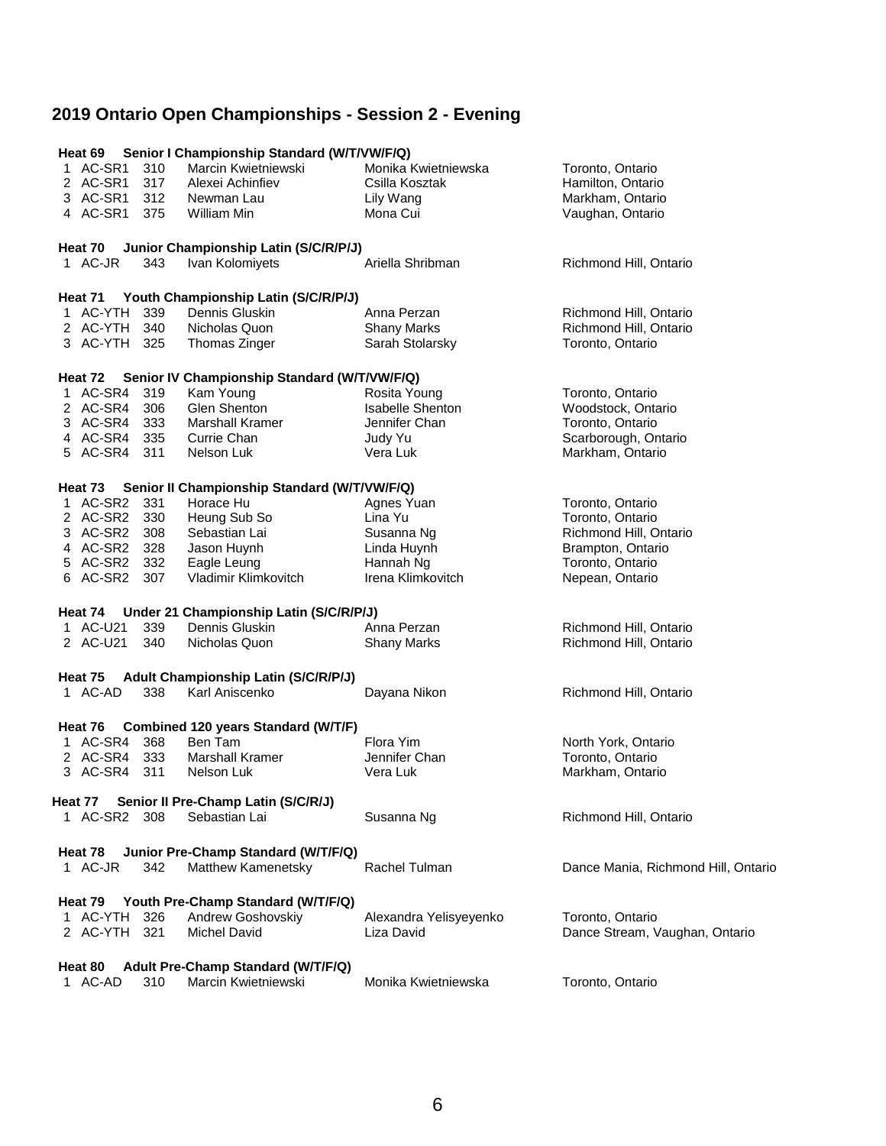# **2019 Ontario Open Championships - Session 2 - Evening**

| Heat 69            |     | Senior I Championship Standard (W/T/VW/F/Q)  |                         |                                     |
|--------------------|-----|----------------------------------------------|-------------------------|-------------------------------------|
| 1 AC-SR1           | 310 | Marcin Kwietniewski                          | Monika Kwietniewska     | Toronto, Ontario                    |
| 2 AC-SR1           | 317 | Alexei Achinfiev                             | Csilla Kosztak          | Hamilton, Ontario                   |
| 3 AC-SR1           | 312 | Newman Lau                                   | Lily Wang               |                                     |
|                    |     |                                              |                         | Markham, Ontario                    |
| 4 AC-SR1           | 375 | William Min                                  | Mona Cui                | Vaughan, Ontario                    |
| Heat 70            |     | Junior Championship Latin (S/C/R/P/J)        |                         |                                     |
| 1 AC-JR            | 343 | Ivan Kolomiyets                              | Ariella Shribman        | Richmond Hill, Ontario              |
|                    |     |                                              |                         |                                     |
|                    |     | Heat 71 Youth Championship Latin (S/C/R/P/J) |                         |                                     |
| 1 AC-YTH 339       |     | Dennis Gluskin                               | Anna Perzan             | Richmond Hill, Ontario              |
| 2 AC-YTH           | 340 | Nicholas Quon                                | <b>Shany Marks</b>      | Richmond Hill, Ontario              |
| 3 AC-YTH 325       |     | Thomas Zinger                                | Sarah Stolarsky         | Toronto, Ontario                    |
|                    |     |                                              |                         |                                     |
| Heat 72            |     | Senior IV Championship Standard (W/T/VW/F/Q) |                         |                                     |
| 1 AC-SR4           | 319 | Kam Young                                    | Rosita Young            | Toronto, Ontario                    |
| 2 AC-SR4 306       |     | Glen Shenton                                 | <b>Isabelle Shenton</b> | Woodstock, Ontario                  |
| 3 AC-SR4           | 333 | <b>Marshall Kramer</b>                       | Jennifer Chan           | Toronto, Ontario                    |
|                    |     |                                              |                         |                                     |
| 4 AC-SR4 335       |     | Currie Chan                                  | Judy Yu                 | Scarborough, Ontario                |
| 5 AC-SR4 311       |     | Nelson Luk                                   | Vera Luk                | Markham, Ontario                    |
| Heat 73            |     | Senior II Championship Standard (W/T/VW/F/Q) |                         |                                     |
| 1 AC-SR2 331       |     | Horace Hu                                    | Agnes Yuan              | Toronto, Ontario                    |
| 2 AC-SR2 330       |     |                                              | Lina Yu                 | Toronto, Ontario                    |
|                    |     | Heung Sub So                                 |                         |                                     |
| 3 AC-SR2 308       |     | Sebastian Lai                                | Susanna Ng              | Richmond Hill, Ontario              |
| 4 AC-SR2 328       |     | Jason Huynh                                  | Linda Huynh             | Brampton, Ontario                   |
| 5 AC-SR2           | 332 | Eagle Leung                                  | Hannah Ng               | Toronto, Ontario                    |
| 6 AC-SR2           | 307 | Vladimir Klimkovitch                         | Irena Klimkovitch       | Nepean, Ontario                     |
|                    |     |                                              |                         |                                     |
| Heat 74            |     | Under 21 Championship Latin (S/C/R/P/J)      |                         |                                     |
| 1 AC-U21           | 339 | Dennis Gluskin                               | Anna Perzan             | Richmond Hill, Ontario              |
| 2 AC-U21           | 340 | Nicholas Quon                                | <b>Shany Marks</b>      | Richmond Hill, Ontario              |
| Heat 75            |     | Adult Championship Latin (S/C/R/P/J)         |                         |                                     |
|                    |     |                                              |                         |                                     |
| 1 AC-AD            | 338 | Karl Aniscenko                               | Dayana Nikon            | Richmond Hill, Ontario              |
| Heat 76            |     | Combined 120 years Standard (W/T/F)          |                         |                                     |
| 1 AC-SR4           | 368 | Ben Tam                                      | Flora Yim               | North York, Ontario                 |
| 2 AC-SR4           | 333 | <b>Marshall Kramer</b>                       | Jennifer Chan           | Toronto, Ontario                    |
|                    |     |                                              |                         |                                     |
| 3 AC-SR4           | 311 | Nelson Luk                                   | Vera Luk                | Markham, Ontario                    |
| Heat 77            |     | Senior II Pre-Champ Latin (S/C/R/J)          |                         |                                     |
| 1 AC-SR2           | 308 | Sebastian Lai                                | Susanna Ng              | Richmond Hill, Ontario              |
|                    |     |                                              |                         |                                     |
| Heat 78            |     | Junior Pre-Champ Standard (W/T/F/Q)          |                         |                                     |
| 1 AC-JR            | 342 | Matthew Kamenetsky                           | Rachel Tulman           | Dance Mania, Richmond Hill, Ontario |
|                    |     |                                              |                         |                                     |
| Heat 79            |     | Youth Pre-Champ Standard (W/T/F/Q)           |                         |                                     |
| 1 AC-YTH           | 326 | Andrew Goshovskiy                            | Alexandra Yelisyeyenko  | Toronto, Ontario                    |
| 2 AC-YTH           | 321 | <b>Michel David</b>                          | Liza David              | Dance Stream, Vaughan, Ontario      |
|                    |     | Adult Pre-Champ Standard (W/T/F/Q)           |                         |                                     |
| Heat 80<br>1 AC-AD | 310 | Marcin Kwietniewski                          | Monika Kwietniewska     |                                     |
|                    |     |                                              |                         | Toronto, Ontario                    |